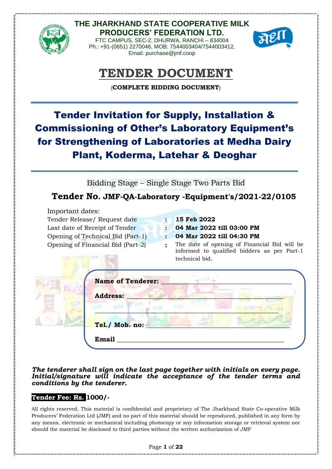

**THE JHARKHAND STATE COOPERATIVE MILK PRODUCERS' FEDERATION LTD.** FTC CAMPUS, SEC-2, DHURWA, RANCHI – 834004 Ph.: +91-(0651) 2270046, MOB: 7544003404/7544003412,

Email: purchase@jmf.coop



# **TENDER DOCUMENT**

(**COMPLETE BIDDING DOCUMENT**)

Tender Invitation for Supply, Installation & Commissioning of Other's Laboratory Equipment's for Strengthening of Laboratories at Medha Dairy Plant, Koderma, Latehar & Deoghar

Bidding Stage – Single Stage Two Parts Bid

# **Tender No. JMF-QA-Laboratory -Equipment's/2021-22/0105**

Important dates: Tender Release/ Request date **: 15 Feb 2022** Last date of Receipt of Tender **: 04 Mar 2022 till 03:00 PM** Opening of Technical Bid (Part-1) **: 04 Mar 2022 till 04:30 PM**

Opening of Financial Bid (Part-2) **:** The date of opening of Financial Bid will be informed to qualified bidders as per Part-1 technical bid.

| <b>Name of Tenderer:</b> |                |
|--------------------------|----------------|
| <b>Address:</b>          |                |
|                          |                |
|                          |                |
|                          | Tel./ Mob. no: |

*The tenderer shall sign on the last page together with initials on every page. Initial/signature will indicate the acceptance of the tender terms and conditions by the tenderer.*

### **Tender Fee: Rs. 1000/-**

All rights reserved. This material is confidential and proprietary of The Jharkhand State Co-operative Milk Producers' Federation Ltd (JMF) and no part of this material should be reproduced, published in any form by any means, electronic or mechanical including photocopy or any information storage or retrieval system nor should the material be disclosed to third parties without the written authorization of JMF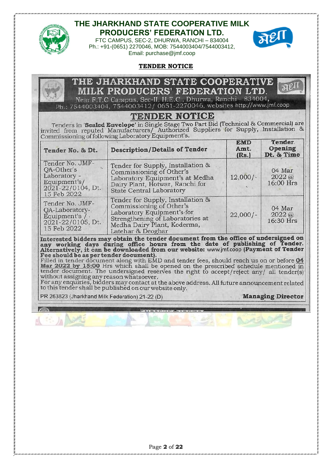

FTC CAMPUS, SEC-2, DHURWA, RANCHI – 834004 Ph.: +91-(0651) 2270046, MOB: 7544003404/7544003412, Email: purchase@jmf.coop



#### **TENDER NOTICE**

#### THE JHARKHAND STATE COOPER VID, **MILK PRODUCERS' FEDERATION LTD.**

Near F.T.C Campus, Sec-II, H.E.C., Dhurwa, Ranchi - 834004, Ph.: 7544003404, 7544003412/ 0651-2270046, websites http://www.jmf.coop

## **TENDER NOTICE**

Tenders in 'Sealed Envelope' in Single Stage Two Part Bid (Technical & Commercial) are invited from reputed Manufacturers/ Authorized Suppliers for Supply, Installation &<br>Commissioning of following Laboratory Equipment's.

| Tender No. & Dt.                                                                                  | <b>Description/Details of Tender</b>                                                                                                                                                | <b>EMD</b><br>Amt.<br>(Rs.) | Tender.<br>Opening<br>Dt. & Time |
|---------------------------------------------------------------------------------------------------|-------------------------------------------------------------------------------------------------------------------------------------------------------------------------------------|-----------------------------|----------------------------------|
| Tender No. JMF-<br>OA-Other's<br>Laboratory -<br>Equipment's/<br>2021-22/0104, Dt.<br>15 Feb 2022 | Tender for Supply, Installation &<br>Commissioning of Other's<br>Laboratory Equipment's at Medha<br>Dairy Plant, Hotwar, Ranchi for<br><b>State Central Laboratory</b>              | $12,000/-$                  | 04 Mar<br>2022(a)<br>16:00 Hrs   |
| Tender No. JMF-<br>OA-Laboratory-<br>Equipment's / .<br>$2021 - 22/0105$ , Dt.<br>15 Feb 2022     | Tender for Supply, Installation &<br>Commissioning of Other's<br>Laboratory Equipment's for<br>Strengthening of Laboratories at<br>Medha Dairy Plant, Koderma,<br>Latehar & Deoghar | $22,000/-$                  | 04 Mar<br>2022(a)<br>16:30 Hrs   |

Interested bidders may obtain the tender document from the office of undersigned on<br>any working days during office hours from the date of publishing of Tender.<br>Alternatively, it can be downloaded from our website: www.jmf.

without assigning any reason whatsoever.

For any enquiries, bidders may contact at the above address. All future announcement related to this tender shall be published on our website only.

PR 263823 (Jharkhand Milk Federation) 21-22 (D)

**Managing Director**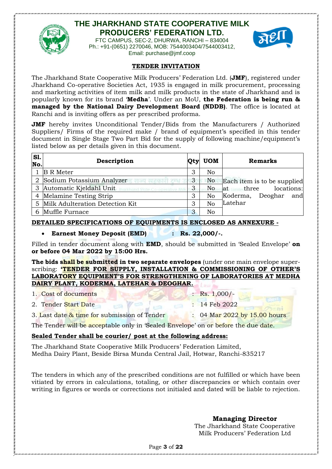

FTC CAMPUS, SEC-2, DHURWA, RANCHI – 834004 Ph.: +91-(0651) 2270046, MOB: 7544003404/7544003412, Email: purchase@jmf.coop



#### **TENDER INVITATION**

The Jharkhand State Cooperative Milk Producers' Federation Ltd. (**JMF**), registered under Jharkhand Co-operative Societies Act, 1935 is engaged in milk procurement, processing and marketing activities of item milk and milk products in the state of Jharkhand and is popularly known for its brand '**Medha**'. Under an MoU, **the Federation is being run & managed by the National Dairy Development Board (NDDB)**. The office is located at Ranchi and is inviting offers as per prescribed proforma.

**JMF** hereby invites Unconditional Tender/Bids from the Manufacturers / Authorized Suppliers/ Firms of the required make / brand of equipment's specified in this tender document in Single Stage Two Part Bid for the supply of following machine/equipment's listed below as per details given in this document.

| SI.<br>No. | Description                       | Qty | <b>UOM</b>     | <b>Remarks</b>              |
|------------|-----------------------------------|-----|----------------|-----------------------------|
|            | B R Meter                         | 3   | No             |                             |
|            | 2 Sodium Potassium Analyzer       | 3   | No             | Each item is to be supplied |
|            | Automatic Kjeldahl Unit           | 3   | No             | locations:<br>at three      |
|            | 4 Melamine Testing Strip          | 3   | No             | Koderma,<br>Deoghar<br>and  |
|            | 5 Milk Adulteration Detection Kit | 3   | N <sub>o</sub> | Latehar                     |
|            | 6 Muffle Furnace                  | 3   | No             |                             |

### **DETAILED SPECIFICATIONS OF EQUIPMENTS IS ENCLOSED AS ANNEXURE -**

### • **Earnest Money Deposit (EMD) : Rs. 22,000/-.**

Filled in tender document along with **EMD**, should be submitted in 'Sealed Envelope' **on or before 04 Mar 2022 by 15:00 Hrs.** 

**The bids shall be submitted in two separate envelopes** (under one main envelope superscribing: **'TENDER FOR SUPPLY, INSTALLATION & COMMISSIONING OF OTHER'S LABORATORY EQUIPMENT'S FOR STRENGTHENING OF LABORATORIES AT MEDHA DAIRY PLANT, KODERMA, LATEHAR & DEOGHAR.**

|  | 1. Cost of documents |
|--|----------------------|
|  |                      |

- 2. Tender Start Date : 14 Feb 2022
- 3. Last date & time for submission of Tender : 04 Mar 2022 by 15.00 hours

The Tender will be acceptable only in 'Sealed Envelope' on or before the due date.

### **Sealed Tender shall be courier/ post at the following address:**

The Jharkhand State Cooperative Milk Producers' Federation Limited, Medha Dairy Plant, Beside Birsa Munda Central Jail, Hotwar, Ranchi-835217

The tenders in which any of the prescribed conditions are not fulfilled or which have been vitiated by errors in calculations, totaling, or other discrepancies or which contain over writing in figures or words or corrections not initialed and dated will be liable to rejection.

**Managing Director**

 $Rs. 1,000/$ -

The Jharkhand State Cooperative Milk Producers' Federation Ltd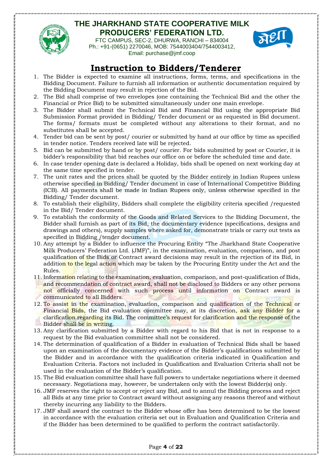

FTC CAMPUS, SEC-2, DHURWA, RANCHI – 834004 Ph.: +91-(0651) 2270046, MOB: 7544003404/7544003412, Email: purchase@jmf.coop



# **Instruction to Bidders/Tenderer**

- 1. The Bidder is expected to examine all instructions, forms, terms, and specifications in the Bidding Document. Failure to furnish all information or authentic documentation required by the Bidding Document may result in rejection of the Bid.
- 2. The Bid shall comprise of two envelopes (one containing the Technical Bid and the other the Financial or Price Bid) to be submitted simultaneously under one main envelope.
- 3. The Bidder shall submit the Technical Bid and Financial Bid using the appropriate Bid Submission Format provided in Bidding/ Tender document or as requested in Bid document. The forms/ formats must be completed without any alterations to their format, and no substitutes shall be accepted.
- 4. Tender bid can be sent by post/ courier or submitted by hand at our office by time as specified in tender notice. Tenders received late will be rejected.
- 5. Bid can be submitted by hand or by post/ courier. For bids submitted by post or Courier, it is bidder's responsibility that bid reaches our office on or before the scheduled time and date.
- 6. In case tender opening date is declared a Holiday, bids shall be opened on next working day at the same time specified in tender.
- 7. The unit rates and the prices shall be quoted by the Bidder entirely in Indian Rupees unless otherwise specified in Bidding/ Tender document in case of International Competitive Bidding (ICB). All payments shall be made in Indian Rupees only, unless otherwise specified in the Bidding/ Tender document.
- 8. To establish their eligibility, Bidders shall complete the eligibility criteria specified /requested in the Bid/ Tender document.
- 9. To establish the conformity of the Goods and Related Services to the Bidding Document, the Bidder shall furnish as part of its Bid, the documentary evidence (specifications, designs and drawings and others), supply samples where asked for, demonstrate trials or carry out tests as specified in Bidding /tender document.
- 10. Any attempt by a Bidder to influence the Procuring Entity "The Jharkhand State Cooperative Milk Producers' Federation Ltd. (JMF)", in the examination, evaluation, comparison, and post qualification of the Bids or Contract award decisions may result in the rejection of its Bid, in addition to the legal action which may be taken by the Procuring Entity under the Act and the Rules.
- 11. Information relating to the examination, evaluation, comparison, and post-qualification of Bids, and recommendation of contract award, shall not be disclosed to Bidders or any other persons not officially concerned with such process until information on Contract award is communicated to all Bidders.
- 12. To assist in the examination, evaluation, comparison and qualification of the Technical or Financial Bids, the Bid evaluation committee may, at its discretion, ask any Bidder for a clarification regarding its Bid. The committee's request for clarification and the response of the Bidder shall be in writing.
- 13. Any clarification submitted by a Bidder with regard to his Bid that is not in response to a request by the Bid evaluation committee shall not be considered.
- 14. The determination of qualification of a Bidder in evaluation of Technical Bids shall be based upon an examination of the documentary evidence of the Bidder's qualifications submitted by the Bidder and in accordance with the qualification criteria indicated in Qualification and Evaluation Criteria. Factors not included in Qualification and Evaluation Criteria shall not be used in the evaluation of the Bidder's qualification.
- 15. The Bid evaluation committee shall have full powers to undertake negotiations where it deemed necessary. Negotiations may, however, be undertaken only with the lowest Bidder(s) only.
- 16. JMF reserves the right to accept or reject any Bid, and to annul the Bidding process and reject all Bids at any time prior to Contract award without assigning any reasons thereof and without thereby incurring any liability to the Bidders.
- 17. JMF shall award the contract to the Bidder whose offer has been determined to be the lowest in accordance with the evaluation criteria set out in Evaluation and Qualification Criteria and if the Bidder has been determined to be qualified to perform the contract satisfactorily.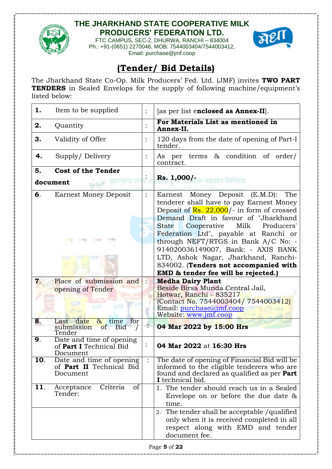

FTC CAMPUS, SEC-2, DHURWA, RANCHI – 834004 Ph.: +91-(0651) 2270046, MOB: 7544003404/7544003412, Email: purchase@jmf.coop



# **(Tender/ Bid Details)**

The Jharkhand State Co-Op. Milk Producers' Fed. Ltd. (JMF) invites **TWO PART TENDERS** in Sealed Envelops for the supply of following machine/equipment's listed below:

| 1.  | Item to be supplied                                                              | $\vdots$       | [as per list enclosed as Annex-II].                                                                                                                                                                                                                                              |
|-----|----------------------------------------------------------------------------------|----------------|----------------------------------------------------------------------------------------------------------------------------------------------------------------------------------------------------------------------------------------------------------------------------------|
| 2.  | Quantity                                                                         | $\ddot{\cdot}$ | For Materials List as mentioned in<br>Annex-II.                                                                                                                                                                                                                                  |
| 3.  | Validity of Offer                                                                | $\ddot{\cdot}$ | 120 days from the date of opening of Part-I<br>tender.                                                                                                                                                                                                                           |
| 4.  | Supply/Delivery                                                                  | $\ddot{\cdot}$ | As per terms $\&$ condition of order/<br>contract.                                                                                                                                                                                                                               |
| 5.  | <b>Cost of the Tender</b>                                                        |                |                                                                                                                                                                                                                                                                                  |
|     | ਰਚਰ ਬਣ ਦੇ ਸ<br>document                                                          |                | Rs. 1,000/-                                                                                                                                                                                                                                                                      |
| б.  | <b>Earnest Money Deposit</b>                                                     | $\ddot{\cdot}$ | Earnest Money Deposit (E.M.D):<br>The<br>tenderer shall have to pay Earnest Money<br>Deposit of $\text{Rs. } 22,000$ /- in form of crossed<br>Demand Draft in favour of "Jharkhand<br>Milk<br><b>State</b><br>Cooperative<br>Producers'<br>Federation Ltd", payable at Ranchi or |
|     |                                                                                  |                | through NEFT/RTGS in Bank A/C No: -<br>914020036149007, Bank: - AXIS BANK                                                                                                                                                                                                        |
|     |                                                                                  |                | LTD, Ashok Nagar, Jharkhand, Ranchi-<br>834002. (Tenders not accompanied with<br>EMD & tender fee will be rejected.)                                                                                                                                                             |
| 7.  | Place of submission and<br>opening of Tender                                     |                | <b>Medha Dairy Plant</b><br>Beside Birsa Munda Central Jail,<br>Hotwar, Ranchi - 835217<br>(Contact No. 7544003404/7544003412)<br>Email: purchase@jmf.coop<br>Website: www.jmf.coop                                                                                              |
| 8.  | Last date<br>for<br>$\alpha$<br>time<br>submission<br><b>Bid</b><br>of<br>Tender |                | 04 Mar 2022 by 15:00 Hrs                                                                                                                                                                                                                                                         |
| 9.  | Date and time of opening<br>of Part I Technical Bid<br>Document                  | $\ddot{\cdot}$ | 04 Mar 2022 at 16:30 Hrs                                                                                                                                                                                                                                                         |
| 10. | Date and time of opening<br>of Part II Technical Bid<br>Document                 |                | The date of opening of Financial Bid will be<br>informed to the eligible tenderers who are<br>found and declared as qualified as per <b>Part</b>                                                                                                                                 |
|     |                                                                                  |                | I technical bid.                                                                                                                                                                                                                                                                 |
| 11. | Criteria<br>Acceptance<br>of<br>Tender:                                          |                | 1. The tender should reach us in a Sealed<br>Envelope on or before the due date $\&$<br>time.                                                                                                                                                                                    |
|     |                                                                                  |                | 2. The tender shall be acceptable / qualified<br>only when it is received completed in all<br>respect along with EMD and tender<br>document fee.                                                                                                                                 |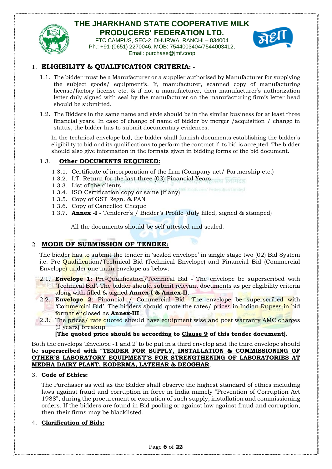

FTC CAMPUS, SEC-2, DHURWA, RANCHI – 834004 Ph.: +91-(0651) 2270046, MOB: 7544003404/7544003412, Email: purchase@jmf.coop



### 1. **ELIGIBILITY & QUALIFICATION CRITERIA: -**

- 1.1. The bidder must be a Manufacturer or a supplier authorized by Manufacturer for supplying the subject goods/ equipment's. If, manufacturer, scanned copy of manufacturing license/factory license etc. & if not a manufacturer, then manufacturer's authorization letter duly signed with seal by the manufacturer on the manufacturing firm's letter head should be submitted.
- 1.2. The Bidders in the same name and style should be in the similar business for at least three financial years. In case of change of name of bidder by merger /acquisition / change in status, the bidder has to submit documentary evidences.

In the technical envelope bid, the bidder shall furnish documents establishing the bidder's eligibility to bid and its qualifications to perform the contract if its bid is accepted. The bidder should also give information in the formats given in bidding forms of the bid document.

### 1.3. **Other DOCUMENTS REQUIRED:**

- 1.3.1. Certificate of incorporation of the firm (Company act/ Partnership etc.)
- 1.3.2. I.T. Return for the last three (03) Financial Years.
- 1.3.3. List of the clients.
- 1.3.4. ISO Certification copy or same (if any)
- 1.3.5. Copy of GST Regn. & PAN
- 1.3.6. Copy of Cancelled Cheque
- 1.3.7. **Annex -I -** Tenderer's / Bidder's Profile (duly filled, signed & stamped)

All the documents should be self-attested and sealed.

### 2. **MODE OF SUBMISSION OF TENDER:**

The bidder has to submit the tender in 'sealed envelope' in single stage two (02) Bid System i.e. Pre-Qualification/Technical Bid (Technical Envelope) and Financial Bid (Commercial Envelope) under one main envelope as below:

- 2.1. **Envelope 1:** Pre-Qualification/Technical Bid The envelope be superscribed with 'Technical Bid'. The bidder should submit relevant documents as per eligibility criteria along with filled & signed **Annex-I & Annex-II**.
- 2.2. **Envelope 2**: Financial / Commercial Bid- The envelope be superscribed with 'Commercial Bid'. The bidders should quote the rates/ prices in Indian Rupees in bid format enclosed as **Annex-III**.
- 2.3. The prices/ rate quoted should have equipment wise and post warranty AMC charges (2 years) breakup

### **[The quoted price should be according to Clause 9 of this tender document].**

Both the envelops 'Envelope -1 and 2' to be put in a third envelop and the third envelope should be **superscribed with** "**TENDER FOR SUPPLY, INSTALLATION & COMMISSIONING OF OTHER'S LABORATORY EQUIPMENT'S FOR STRENGTHENING OF LABORATORIES AT MEDHA DAIRY PLANT, KODERMA, LATEHAR & DEOGHAR**.

#### 3. **Code of Ethics:**

The Purchaser as well as the Bidder shall observe the highest standard of ethics including laws against fraud and corruption in force in India namely "Prevention of Corruption Act 1988", during the procurement or execution of such supply, installation and commissioning orders. If the bidders are found in Bid pooling or against law against fraud and corruption, then their firms may be blacklisted.

### 4. **Clarification of Bids:**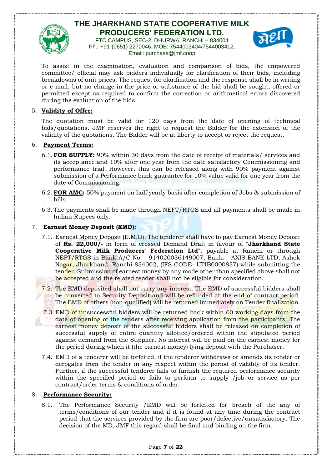

FTC CAMPUS, SEC-2, DHURWA, RANCHI – 834004 Ph.: +91-(0651) 2270046, MOB: 7544003404/7544003412, Email: purchase@jmf.coop



To assist in the examination, evaluation and comparison of bids, the empowered committee/ official may ask bidders individually for clarification of their bids, including breakdowns of unit prices. The request for clarification and the response shall be in writing or e mail, but no change in the price or substance of the bid shall be sought, offered or permitted except as required to confirm the correction or arithmetical errors discovered during the evaluation of the bids.

#### 5. **Validity of Offer:**

The quotation must be valid for 120 days from the date of opening of technical bids/quotations. JMF reserves the right to request the Bidder for the extension of the validity of the quotations. The Bidder will be at liberty to accept or reject the request.

#### 6. **Payment Terms:**

- 6.1. **FOR SUPPLY:** 90% within 30 days from the date of receipt of materials/ services and its acceptance and 10% after one year from the date satisfactory Commissioning and performance trial. However, this can be released along with 90% payment against submission of a Performance bank guarantee for 10% value valid for one year from the date of Commissioning.
- 6.2. **FOR AMC:** 50% payment on half yearly basis after completion of Jobs & submission of bills.
- 6.3. The payments shall be made through NEFT/RTGS and all payments shall be made in Indian Rupees only.

#### 7. **Earnest Money Deposit (EMD):**

- 7.1. Earnest Money Deposit (E.M.D): The tenderer shall have to pay Earnest Money Deposit of **Rs. 22,000/-** in form of crossed Demand Draft in favour of "**Jharkhand State Cooperative Milk Producers' Federation Ltd**", payable at Ranchi or through NEFT/RTGS in Bank A/C No: - 914020036149007, Bank: - AXIS BANK LTD, Ashok Nagar, Jharkhand, Ranchi-834002, (IFS CODE- UTIB0000837) while submitting the tender. Submission of earnest money by any mode other than specified above shall not be accepted and the related tender shall not be eligible for consideration.
- 7.2. The EMD deposited shall not carry any interest. The EMD of successful bidders shall be converted to Security Deposit and will be refunded at the end of contract period. The EMD of others (non-qualified) will be returned immediately on Tender finalization.
- 7.3. EMD of unsuccessful bidders will be returned back within 60 working days from the date of opening of the tenders after receiving application from the participants. The earnest money deposit of the successful bidders shall be released on completion of successful supply of entire quantity allotted/ordered within the stipulated period against demand from the Supplier. No interest will be paid on the earnest money for the period during which it (the earnest money) lying deposit with the Purchaser.
- 7.4. EMD of a tenderer will be forfeited, if the tenderer withdraws or amends its tender or derogates from the tender in any respect within the period of validity of its tender. Further, if the successful tenderer fails to furnish the required performance security within the specified period or fails to perform to supply /job or service as per contract/order terms & conditions of order.

#### 8. **Performance Security:**

8.1. The Performance Security /EMD will be forfeited for breach of the any of terms/conditions of our tender and if it is found at any time during the contract period that the services provided by the firm are poor/defective/unsatisfactory. The decision of the MD, JMF this regard shall be final and binding on the firm.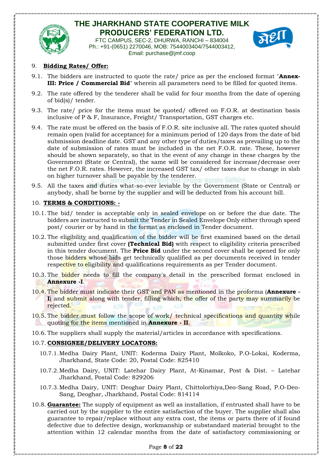

FTC CAMPUS, SEC-2, DHURWA, RANCHI – 834004 Ph.: +91-(0651) 2270046, MOB: 7544003404/7544003412, Email: purchase@jmf.coop



#### 9. **Bidding Rates/ Offer:**

- 9.1. The bidders are instructed to quote the rate/ price as per the enclosed format "**Annex-III: Price / Commercial Bid**" wherein all parameters need to be filled for quoted items.
- 9.2. The rate offered by the tenderer shall be valid for four months from the date of opening of bid(s)/ tender.
- 9.3. The rate/ price for the items must be quoted/ offered on F.O.R. at destination basis inclusive of P & F, Insurance, Freight/ Transportation, GST charges etc.
- 9.4. The rate must be offered on the basis of F.O.R. site inclusive all. The rates quoted should remain open (valid for acceptance) for a minimum period of 120 days from the date of bid submission deadline date. GST and any other type of duties/taxes as prevailing up to the date of submission of rates must be included in the net F.O.R. rate. These, however should be shown separately, so that in the event of any change in these charges by the Government (State or Central), the same will be considered for increase/decrease over the net F.O.R. rates. However, the increased GST tax/ other taxes due to change in slab on higher turnover shall be payable by the tenderer.
- 9.5. All the taxes and duties what-so-ever leviable by the Government (State or Central) or anybody, shall be borne by the supplier and will be deducted from his account bill.

#### 10. **TERMS & CONDITIONS: -**

- 10.1. The bid/ tender is acceptable only in sealed envelope on or before the due date. The bidders are instructed to submit the Tender in Sealed Envelope Only either through speed post/ courier or by hand in the format as enclosed in Tender document.
- 10.2. The eligibility and qualification of the bidder will be first examined based on the detail submitted under first cover **(Technical Bid)** with respect to eligibility criteria prescribed in this tender document. The **Price Bid** under the second cover shall be opened for only those bidders whose bids get technically qualified as per documents received in tender respective to eligibility and qualifications requirements as per Tender document.
- 10.3. The bidder needs to fill the company's detail in the prescribed format enclosed in **Annexure -I**.
- 10.4. The bidder must indicate their GST and PAN as mentioned in the proforma (**Annexure - I**) and submit along with tender, filling which, the offer of the party may summarily be rejected.
- 10.5. The bidder must follow the scope of work/ technical specifications and quantity while quoting for the items mentioned in **Annexure - II**.
- 10.6. The suppliers shall supply the material/articles in accordance with specifications.

#### 10.7. **CONSIGNEE/DELIVERY LOCATONS:**

- 10.7.1.Medha Dairy Plant, UNIT: Koderma Dairy Plant, Molkoko, P.O-Lokai, Koderma, Jharkhand, State Code: 20, Postal Code: 825410
- 10.7.2.Medha Dairy, UNIT: Latehar Dairy Plant, At-Kinamar, Post & Dist. Latehar Jharkhand, Postal Code: 829206
- 10.7.3.Medha Dairy, UNIT: Deoghar Dairy Plant, Chittolorhiya,Deo-Sang Road, P.O-Deo-Sang, Deoghar, Jharkhand, Postal Code: 814114
- 10.8. **Guarantee:** The supply of equipment as well as installation, if entrusted shall have to be carried out by the supplier to the entire satisfaction of the buyer. The supplier shall also guarantee to repair/replace without any extra cost, the items or parts there of if found defective due to defective design, workmanship or substandard material brought to the attention within 12 calendar months from the date of satisfactory commissioning or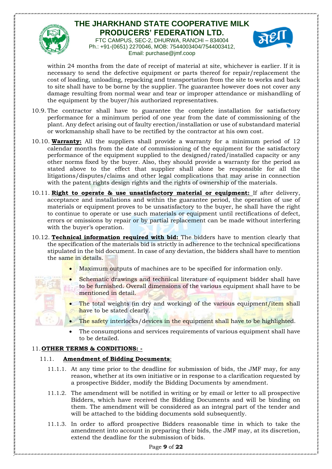

FTC CAMPUS, SEC-2, DHURWA, RANCHI – 834004 Ph.: +91-(0651) 2270046, MOB: 7544003404/7544003412, Email: purchase@jmf.coop



within 24 months from the date of receipt of material at site, whichever is earlier. If it is necessary to send the defective equipment or parts thereof for repair/replacement the cost of loading, unloading, repacking and transportation from the site to works and back to site shall have to be borne by the supplier. The guarantee however does not cover any damage resulting from normal wear and tear or improper attendance or mishandling of the equipment by the buyer/his authorized representatives.

- 10.9. The contractor shall have to guarantee the complete installation for satisfactory performance for a minimum period of one year from the date of commissioning of the plant. Any defect arising out of faulty erection/installation or use of substandard material or workmanship shall have to be rectified by the contractor at his own cost.
- 10.10. **Warranty:** All the suppliers shall provide a warranty for a minimum period of 12 calendar months from the date of commissioning of the equipment for the satisfactory performance of the equipment supplied to the designed/rated/installed capacity or any other norms fixed by the buyer. Also, they should provide a warranty for the period as stated above to the effect that supplier shall alone be responsible for all the litigations/disputes/claims and other legal complications that may arise in connection with the patent rights design rights and the rights of ownership of the materials.
- 10.11. **Right to operate & use unsatisfactory material or equipment:** If after delivery, acceptance and installations and within the guarantee period, the operation of use of materials or equipment proves to be unsatisfactory to the buyer, he shall have the right to continue to operate or use such materials or equipment until rectifications of defect, errors or omissions by repair or by partial replacement can be made without interfering with the buyer's operation.
- 10.12. **Technical information required with bid:** The bidders have to mention clearly that the specification of the materials bid is strictly in adherence to the technical specifications stipulated in the bid document. In case of any deviation, the bidders shall have to mention the same in details.
	- Maximum outputs of machines are to be specified for information only.
	- Schematic drawings and technical literature of equipment bidder shall have to be furnished. Overall dimensions of the various equipment shall have to be mentioned in detail.
	- The total weights (in dry and working) of the various equipment/item shall have to be stated clearly.
	- The safety interlocks/devices in the equipment shall have to be highlighted.
	- The consumptions and services requirements of various equipment shall have to be detailed.

### 11. **OTHER TERMS & CONDITIONS: -**

### 11.1. **Amendment of Bidding Documents**:

- 11.1.1. At any time prior to the deadline for submission of bids, the JMF may, for any reason, whether at its own initiative or in response to a clarification requested by a prospective Bidder, modify the Bidding Documents by amendment.
- 11.1.2. The amendment will be notified in writing or by email or letter to all prospective Bidders, which have received the Bidding Documents and will be binding on them. The amendment will be considered as an integral part of the tender and will be attached to the bidding documents sold subsequently.
- 11.1.3. In order to afford prospective Bidders reasonable time in which to take the amendment into account in preparing their bids, the JMF may, at its discretion, extend the deadline for the submission of bids.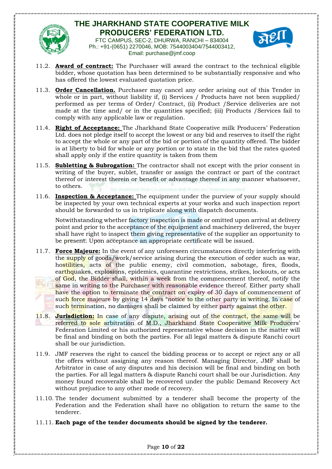

FTC CAMPUS, SEC-2, DHURWA, RANCHI – 834004 Ph.: +91-(0651) 2270046, MOB: 7544003404/7544003412, Email: purchase@jmf.coop



- 11.2. **Award of contract:** The Purchaser will award the contract to the technical eligible bidder, whose quotation has been determined to be substantially responsive and who has offered the lowest evaluated quotation price.
- 11.3. **Order Cancellation.** Purchaser may cancel any order arising out of this Tender in whole or in part, without liability if, (i) Services / Products have not been supplied/ performed as per terms of Order/ Contract, (ii) Product /Service deliveries are not made at the time and/ or in the quantities specified; (iii) Products /Services fail to comply with any applicable law or regulation.
- 11.4. **Right of Acceptance:** The Jharkhand State Cooperative milk Producers' Federation Ltd. does not pledge itself to accept the lowest or any bid and reserves to itself the right to accept the whole or any part of the bid or portion of the quantity offered. The bidder is at liberty to bid for whole or any portion or to state in the bid that the rates quoted shall apply only if the entire quantity is taken from them
- 11.5. **Subletting & Subrogation:** The contractor shall not except with the prior consent in writing of the buyer, sublet, transfer or assign the contract or part of the contract thereof or interest therein or benefit or advantage thereof in any manner whatsoever, to others.
- 11.6. **Inspection & Acceptance:** The equipment under the purview of your supply should be inspected by your own technical experts at your works and such inspection report should be forwarded to us in triplicate along with dispatch documents.

Notwithstanding whether factory inspection is made or omitted upon arrival at delivery point and prior to the acceptance of the equipment and machinery delivered, the buyer shall have right to inspect them giving representative of the supplier an opportunity to be present. Upon acceptance an appropriate certificate will be issued.

- 11.7. **Force Majeure:** In the event of any unforeseen circumstances directly interfering with the supply of goods/work/service arising during the execution of order such as war, hostilities, acts of the public enemy, civil commotion, sabotage, fires, floods, earthquakes, explosions, epidemics, quarantine restrictions, strikes, lockouts, or acts of God, the Bidder shall, within a week from the commencement thereof, notify the same in writing to the Purchaser with reasonable evidence thereof. Either party shall have the option to terminate the contract on expiry of 30 days of commencement of such force majeure by giving 14 days "notice to the other party in writing. In case of such termination, no damages shall be claimed by either party against the other.
- 11.8. **Jurisdiction:** In case of any dispute, arising out of the contract, the same will be referred to sole arbitration of M.D., Jharkhand State Cooperative Milk Producers' Federation Limited or his authorized representative whose decision in the matter will be final and binding on both the parties. For all legal matters & dispute Ranchi court shall be our jurisdiction.
- 11.9. JMF reserves the right to cancel the bidding process or to accept or reject any or all the offers without assigning any reason thereof. Managing Director, JMF shall be Arbitrator in case of any disputes and his decision will be final and binding on both the parties. For all legal matters & dispute Ranchi court shall be our Jurisdiction. Any money found recoverable shall be recovered under the public Demand Recovery Act without prejudice to any other mode of recovery.
- 11.10. The tender document submitted by a tenderer shall become the property of the Federation and the Federation shall have no obligation to return the same to the tenderer.
- 11.11. **Each page of the tender documents should be signed by the tenderer.**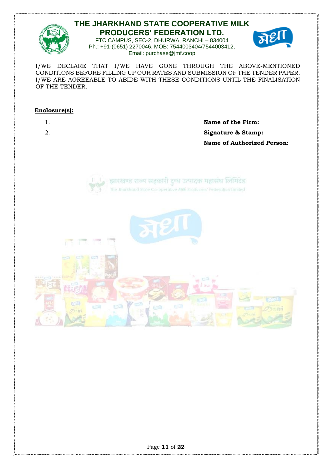

FTC CAMPUS, SEC-2, DHURWA, RANCHI – 834004 Ph.: +91-(0651) 2270046, MOB: 7544003404/7544003412, Email: purchase@jmf.coop



I/WE DECLARE THAT I/WE HAVE GONE THROUGH THE ABOVE-MENTIONED CONDITIONS BEFORE FILLING UP OUR RATES AND SUBMISSION OF THE TENDER PAPER. I/WE ARE AGREEABLE TO ABIDE WITH THESE CONDITIONS UNTIL THE FINALISATION OF THE TENDER.

#### **Enclosure(s):**

1. **Name of the Firm:** 2. **Signature & Stamp: Name of Authorized Person:**



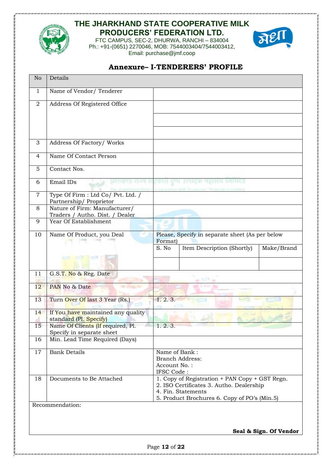

FTC CAMPUS, SEC-2, DHURWA, RANCHI – 834004 Ph.: +91-(0651) 2270046, MOB: 7544003404/7544003412, Email: purchase@jmf.coop



## **Annexure– I-TENDERERS' PROFILE**

| No             | Details                                                          |                            |                                                                                            |                        |
|----------------|------------------------------------------------------------------|----------------------------|--------------------------------------------------------------------------------------------|------------------------|
| 1              | Name of Vendor/ Tenderer                                         |                            |                                                                                            |                        |
| $\overline{2}$ | Address Of Registered Office                                     |                            |                                                                                            |                        |
|                |                                                                  |                            |                                                                                            |                        |
|                |                                                                  |                            |                                                                                            |                        |
| 3              | Address Of Factory/ Works                                        |                            |                                                                                            |                        |
| $\overline{4}$ | Name Of Contact Person                                           |                            |                                                                                            |                        |
| 5              | Contact Nos.                                                     |                            |                                                                                            |                        |
| 6              | Email IDs<br>झारखण्ड                                             |                            | दर्भ उत्पादक महासंघ लिमिटेड                                                                |                        |
| $\overline{7}$ | Type Of Firm : Ltd Co/ Pvt. Ltd. /<br>Partnership/Proprietor     |                            | The Jitarkhand State Co-operative Milk Producers' Federation Limited                       |                        |
| 8              | Nature of Firm: Manufacturer/<br>Traders / Autho. Dist. / Dealer |                            |                                                                                            |                        |
| 9              | Year Of Establishment                                            |                            |                                                                                            |                        |
| 10             | Name Of Product, you Deal                                        | Format)                    | Please, Specify in separate sheet (As per below                                            |                        |
|                |                                                                  | S. No                      | Item Description (Shortly)                                                                 | Make/Brand             |
|                |                                                                  |                            |                                                                                            |                        |
| 11             | G.S.T. No & Reg. Date                                            |                            |                                                                                            |                        |
| 12             | PAN No & Date                                                    |                            |                                                                                            |                        |
| 13             | Turn Over Of last 3 Year (Rs.)                                   | 1.2.3.                     |                                                                                            |                        |
| 14             | If You have maintained any quality                               |                            |                                                                                            |                        |
| 15             | standard (Pl. Specify)<br>Name Of Clients (If required, Pl.      | 1.2.3.                     |                                                                                            |                        |
| 16             | Specify in separate sheet<br>Min. Lead Time Required (Days)      |                            |                                                                                            |                        |
|                | <b>Bank Details</b>                                              | Name of Bank:              |                                                                                            |                        |
| 17             |                                                                  |                            | <b>Branch Address:</b>                                                                     |                        |
|                |                                                                  | Account No.:<br>IFSC Code: |                                                                                            |                        |
| 18             | Documents to Be Attached                                         |                            | 1. Copy of Registration + PAN Copy + GST Regn.<br>2. ISO Certificates 3. Autho. Dealership |                        |
|                |                                                                  |                            | 4. Fin. Statements                                                                         |                        |
|                | Recommendation:                                                  |                            | 5. Product Brochures 6. Copy of PO's (Min.5)                                               |                        |
|                |                                                                  |                            |                                                                                            |                        |
|                |                                                                  |                            |                                                                                            |                        |
|                |                                                                  |                            |                                                                                            | Seal & Sign. Of Vendor |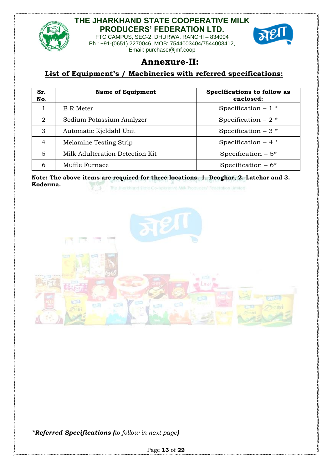

FTC CAMPUS, SEC-2, DHURWA, RANCHI – 834004 Ph.: +91-(0651) 2270046, MOB: 7544003404/7544003412, Email: purchase@jmf.coop



# **Annexure-II:**

### **List of Equipment's / Machineries with referred specifications:**

| Sr.<br>No. | <b>Name of Equipment</b>        | Specifications to follow as<br>enclosed: |
|------------|---------------------------------|------------------------------------------|
|            | B R Meter                       | Specification $-1$ *                     |
| 2          | Sodium Potassium Analyzer       | Specification $-2$ *                     |
| 3          | Automatic Kjeldahl Unit         | Specification $-3$ *                     |
| 4          | Melamine Testing Strip          | Specification $-4$ *                     |
| 5          | Milk Adulteration Detection Kit | Specification $-5$ <sup>*</sup>          |
| 6          | Muffle Furnace                  | Specification $-6*$                      |

**Note: The above items are required for three locations. 1. Deoghar, 2. Latehar and 3. Koderma.** The Jitarkhand State Co-operative Milk Producers' Federation Limited



*\*Referred Specifications (to follow in next page)*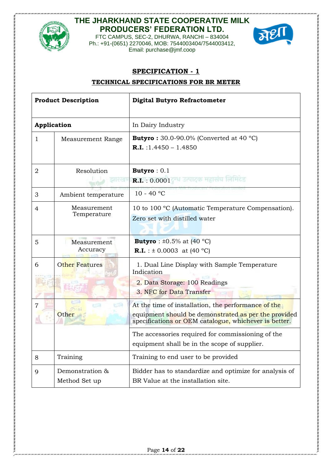

FTC CAMPUS, SEC-2, DHURWA, RANCHI – 834004 Ph.: +91-(0651) 2270046, MOB: 7544003404/7544003412, Email: purchase@jmf.coop



### **SPECIFICATION - 1**

### **TECHNICAL SPECIFICATIONS FOR BR METER**

| <b>Product Description</b> |                                  | <b>Digital Butyro Refractometer</b>                                                                                                                                  |  |
|----------------------------|----------------------------------|----------------------------------------------------------------------------------------------------------------------------------------------------------------------|--|
|                            | Application                      | In Dairy Industry                                                                                                                                                    |  |
| $\mathbf{1}$               | Measurement Range                | <b>Butyro</b> : $30.0 - 90.0\%$ (Converted at 40 °C)<br><b>R.I.</b> : $1.4450 - 1.4850$                                                                              |  |
| $\overline{2}$             | Resolution                       | <b>Butyro</b> : $0.1$<br>उत्पादक महासंघ लिमिटेड<br><b>R.I.</b> : $0.0001$                                                                                            |  |
| 3                          | Ambient temperature              | $10 - 40 °C$                                                                                                                                                         |  |
| 4                          | Measurement<br>Temperature       | 10 to 100 °C (Automatic Temperature Compensation).<br>Zero set with distilled water                                                                                  |  |
| 5                          | Measurement<br>Accuracy          | <b>Butyro</b> : $\pm 0.5\%$ at (40 °C)<br><b>R.I.</b> : $\pm$ 0.0003 at (40 °C)                                                                                      |  |
| 6                          | Other Features                   | 1. Dual Line Display with Sample Temperature<br>Indication<br>2. Data Storage: 100 Readings<br>3. NFC for Data Transfer                                              |  |
| $\overline{7}$             | 50<br>Other                      | At the time of installation, the performance of the<br>equipment should be demonstrated as per the provided<br>specifications or OEM catalogue, whichever is better. |  |
|                            |                                  | The accessories required for commissioning of the<br>equipment shall be in the scope of supplier.                                                                    |  |
| 8                          | Training                         | Training to end user to be provided                                                                                                                                  |  |
| 9                          | Demonstration &<br>Method Set up | Bidder has to standardize and optimize for analysis of<br>BR Value at the installation site.                                                                         |  |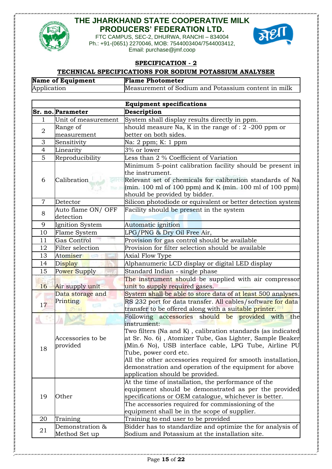





**SPECIFICATION - 2**

# **TECHNICAL SPECIFICATIONS FOR SODIUM POTASSIUM ANALYSER**

| <b>Name of Equipment</b> | <b>Flame Photometer</b>                             |
|--------------------------|-----------------------------------------------------|
| Application              | Measurement of Sodium and Potassium content in milk |

|                 |                     | <b>Equipment specifications</b>                                       |
|-----------------|---------------------|-----------------------------------------------------------------------|
|                 | Sr. no. Parameter   | Description                                                           |
| 1               | Unit of measurement | System shall display results directly in ppm.                         |
| $\sqrt{2}$      | Range of            | should measure Na, K in the range of $: 2$ -200 ppm or                |
|                 | measurement         | better on both sides.                                                 |
| 3               | Sensitivity         | Na: 2 ppm; K: 1 ppm                                                   |
| 4               | Linearity           | 3% or lower                                                           |
| 5               | Reproducibility     | Less than 2 % Coefficient of Variation                                |
|                 |                     | Minimum 5-point calibration facility should be present in             |
|                 |                     | the instrument.                                                       |
| 6               | Calibration         | Relevant set of chemicals for calibration standards of Na             |
|                 |                     | $\frac{1}{2}$ (min. 100 ml of 100 ppm) and K (min. 100 ml of 100 ppm) |
|                 |                     | should be provided by bidder.                                         |
| $\overline{7}$  | Detector            | Silicon photodiode or equivalent or better detection system           |
| 8               | Auto flame ON/ OFF  | Facility should be present in the system                              |
|                 | detection           |                                                                       |
| 9               | Ignition System     | Automatic ignition                                                    |
| 10              | Flame System        | LPG/PNG & Dry Oil Free Air,                                           |
| 11              | <b>Gas Control</b>  | Provision for gas control should be available                         |
| 12              | Filter selection    | Provision for filter selection should be available                    |
| 13              | Atomiser            | Axial Flow Type                                                       |
| 14              | Display             | Alphanumeric LCD display or digital LED display                       |
| 15              | Power Supply        | Standard Indian - single phase                                        |
|                 |                     | The instrument should be supplied with air compressor                 |
| 16 <sup>°</sup> | Air supply unit     | unit to supply required gases.                                        |
|                 | Data storage and    | System shall be able to store data of at least 500 analyses.          |
| 17              | Printing<br>راتي    | RS 232 port for data transfer. All cables/software for data           |
|                 |                     | transfer to be offered along with a suitable printer.                 |
|                 |                     | Following accessories should be provided with the                     |
|                 |                     | instrument:                                                           |
|                 |                     | Two filters (Na and K), calibration standards (as indicated           |
|                 | Accessories to be   | at Sr. No. 6), Atomizer Tube, Gas Lighter, Sample Beaker              |
| 18              | provided            | (Min.6 No), USB interface cable, LPG Tube, Airline PU                 |
|                 |                     | Tube, power cord etc.                                                 |
|                 |                     | All the other accessories required for smooth installation,           |
|                 |                     | demonstration and operation of the equipment for above                |
|                 |                     | application should be provided.                                       |
|                 |                     | At the time of installation, the performance of the                   |
|                 |                     | equipment should be demonstrated as per the provided                  |
| 19              | Other               | specifications or OEM catalogue, whichever is better.                 |
|                 |                     | The accessories required for commissioning of the                     |
|                 |                     | equipment shall be in the scope of supplier.                          |
| 20              | Training            | Training to end user to be provided                                   |
| 21              | Demonstration &     | Bidder has to standardize and optimize the for analysis of            |
|                 | Method Set up       | Sodium and Potassium at the installation site.                        |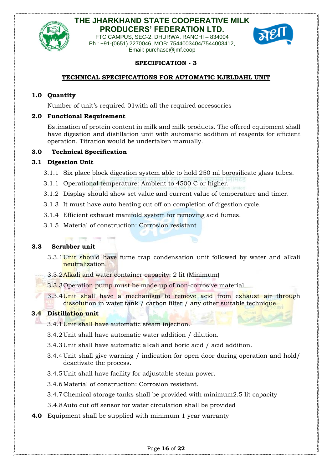

FTC CAMPUS, SEC-2, DHURWA, RANCHI – 834004 Ph.: +91-(0651) 2270046, MOB: 7544003404/7544003412, Email: purchase@jmf.coop



### **SPECIFICATION - 3**

### **TECHNICAL SPECIFICATIONS FOR AUTOMATIC KJELDAHL UNIT**

### **1.0 Quantity**

Number of unit's required-01with all the required accessories

#### **2.0 Functional Requirement**

Estimation of protein content in milk and milk products. The offered equipment shall have digestion and distillation unit with automatic addition of reagents for efficient operation. Titration would be undertaken manually.

#### **3.0 Technical Specification**

#### **3.1 Digestion Unit**

- 3.1.1 Six place block digestion system able to hold 250 ml borosilicate glass tubes.
- 3.1.1 Operational temperature: Ambient to 4500 C or higher.
- 3.1.2 Display should show set value and current value of temperature and timer.
- 3.1.3 It must have auto heating cut off on completion of digestion cycle.
- 3.1.4 Efficient exhaust manifold system for removing acid fumes.
- 3.1.5 Material of construction: Corrosion resistant

#### **3.3 Scrubber unit**

- 3.3.1 Unit should have fume trap condensation unit followed by water and alkali neutralization.
- 3.3.2Alkali and water container capacity: 2 lit (Minimum)
- 3.3.3Operation pump must be made up of non-corrosive material.
- 3.3.4Unit shall have a mechanism to remove acid from exhaust air through dissolution in water tank / carbon filter / any other suitable technique.

#### **3.4 Distillation unit**

- 3.4.1Unit shall have automatic steam injection.
- 3.4.2Unit shall have automatic water addition / dilution.
- 3.4.3Unit shall have automatic alkali and boric acid / acid addition.
- 3.4.4Unit shall give warning / indication for open door during operation and hold/ deactivate the process.
- 3.4.5Unit shall have facility for adjustable steam power.
- 3.4.6Material of construction: Corrosion resistant.
- 3.4.7Chemical storage tanks shall be provided with minimum2.5 lit capacity
- 3.4.8Auto cut off sensor for water circulation shall be provided
- **4.0** Equipment shall be supplied with minimum 1 year warranty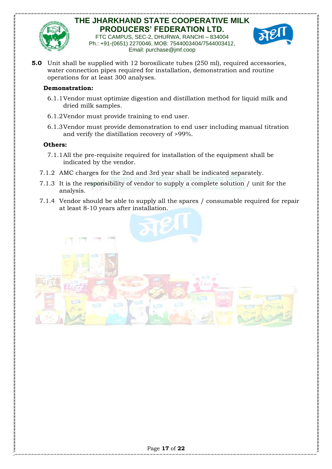

FTC CAMPUS, SEC-2, DHURWA, RANCHI – 834004 Ph.: +91-(0651) 2270046, MOB: 7544003404/7544003412, Email: purchase@jmf.coop



**5.0** Unit shall be supplied with 12 borosilicate tubes (250 ml), required accessories, water connection pipes required for installation, demonstration and routine operations for at least 300 analyses.

#### **Demonstration:**

- 6.1.1Vendor must optimize digestion and distillation method for liquid milk and dried milk samples.
- 6.1.2Vendor must provide training to end user.
- 6.1.3Vendor must provide demonstration to end user including manual titration and verify the distillation recovery of >99%.

#### **Others:**

- 7.1.1All the pre-requisite required for installation of the equipment shall be indicated by the vendor.
- 7.1.2 AMC charges for the 2nd and 3rd year shall be indicated separately.
- 7.1.3 It is the responsibility of vendor to supply a complete solution / unit for the analysis.
- 7.1.4 Vendor should be able to supply all the spares / consumable required for repair at least 8-10 years after installation.

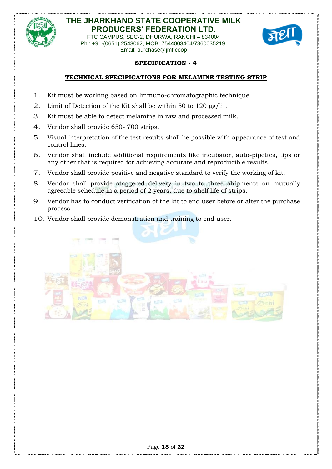

FTC CAMPUS, SEC-2, DHURWA, RANCHI – 834004 Ph.: +91-(0651) 2543062, MOB: 7544003404/7360035219, Email: purchase@jmf.coop



### **SPECIFICATION - 4**

### **TECHNICAL SPECIFICATIONS FOR MELAMINE TESTING STRIP**

- 1. Kit must be working based on Immuno-chromatographic technique.
- 2. Limit of Detection of the Kit shall be within 50 to 120  $\mu$ g/lit.
- 3. Kit must be able to detect melamine in raw and processed milk.
- 4. Vendor shall provide 650- 700 strips.
- 5. Visual interpretation of the test results shall be possible with appearance of test and control lines.
- 6. Vendor shall include additional requirements like incubator, auto-pipettes, tips or any other that is required for achieving accurate and reproducible results.
- 7. Vendor shall provide positive and negative standard to verify the working of kit.
- 8. Vendor shall provide staggered delivery in two to three shipments on mutually agreeable schedule in a period of 2 years, due to shelf life of strips.
- 9. Vendor has to conduct verification of the kit to end user before or after the purchase process.
- 10. Vendor shall provide demonstration and training to end user.

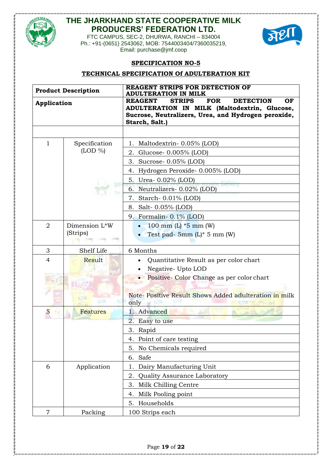



FTC CAMPUS, SEC-2, DHURWA, RANCHI – 834004 Ph.: +91-(0651) 2543062, MOB: 7544003404/7360035219, Email: purchase@jmf.coop

#### **SPECIFICATION NO-5**

#### **TECHNICAL SPECIFICATION Of ADULTERATION KIT**

| <b>Product Description</b> |               | <b>REAGENT STRIPS FOR DETECTION OF</b><br><b>ADULTERATION IN MILK</b>                                                                                                                            |
|----------------------------|---------------|--------------------------------------------------------------------------------------------------------------------------------------------------------------------------------------------------|
| Application                |               | <b>REAGENT</b><br><b>STRIPS</b><br><b>FOR</b><br><b>DETECTION</b><br>OF<br>ADULTERATION IN MILK (Maltodextrin, Glucose,<br>Sucrose, Neutralizers, Urea, and Hydrogen peroxide,<br>Starch, Salt.) |
|                            |               |                                                                                                                                                                                                  |
| $\mathbf{1}$               | Specification | 1. Maltodextrin- 0.05% (LOD)                                                                                                                                                                     |
|                            | $(LOD \%)$    | Glucose- 0.005% (LOD)<br>2.                                                                                                                                                                      |
|                            |               | 3. Sucrose- 0.05% (LOD)                                                                                                                                                                          |
|                            |               | 4. Hydrogen Peroxide- 0.005% (LOD)                                                                                                                                                               |
|                            |               | 5. Urea- 0.02% (LOD)                                                                                                                                                                             |
|                            |               | 1ल मट<br>6. Neutralizers- 0.02% (LOD)                                                                                                                                                            |
|                            |               | 7. Starch-0.01% (LOD)                                                                                                                                                                            |
|                            |               | 8. Salt- 0.05% (LOD)                                                                                                                                                                             |
|                            |               | 9. Formalin- 0.1% (LOD)                                                                                                                                                                          |
| $\overline{2}$             | Dimension L*W | 100 mm $(L)$ *5 mm $(W)$                                                                                                                                                                         |
|                            | (Strips)      | Test pad- 5mm $(L)$ * 5 mm $(W)$                                                                                                                                                                 |
| 3                          | Shelf Life    | 6 Months                                                                                                                                                                                         |
| $\overline{4}$             | Result        | Quantitative Result as per color chart                                                                                                                                                           |
|                            |               | Negative- Upto LOD                                                                                                                                                                               |
|                            |               | Positive-Color Change as per color chart                                                                                                                                                         |
|                            |               |                                                                                                                                                                                                  |
|                            |               | Note- Positive Result Shows Added adulteration in milk<br>only                                                                                                                                   |
| $\overline{5}$             | Features      | 1. Advanced                                                                                                                                                                                      |
|                            |               | 2. Easy to use                                                                                                                                                                                   |
|                            |               | 3. Rapid                                                                                                                                                                                         |
|                            |               | 4. Point of care testing                                                                                                                                                                         |
|                            |               | No Chemicals required<br>5.                                                                                                                                                                      |
|                            |               | Safe<br>6.                                                                                                                                                                                       |
| 6                          | Application   | Dairy Manufacturing Unit<br>1.                                                                                                                                                                   |
|                            |               | Quality Assurance Laboratory<br>2.                                                                                                                                                               |
|                            |               | Milk Chilling Centre<br>3.                                                                                                                                                                       |
|                            |               | Milk Pooling point<br>4.                                                                                                                                                                         |
|                            |               | Households<br>5.                                                                                                                                                                                 |
| 7                          | Packing       | 100 Strips each                                                                                                                                                                                  |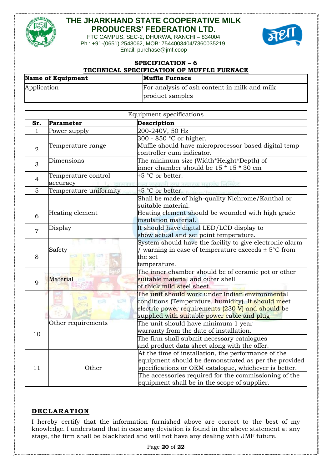



FTC CAMPUS, SEC-2, DHURWA, RANCHI – 834004 Ph.: +91-(0651) 2543062, MOB: 7544003404/7360035219, Email: purchase@jmf.coop

| <b>SPECIFICATION - 6</b><br>TECHNICAL SPECIFICATION OF MUFFLE FURNACE |                                                                 |  |
|-----------------------------------------------------------------------|-----------------------------------------------------------------|--|
| <b>Name of Equipment</b>                                              | <b>Muffle Furnace</b>                                           |  |
| Application                                                           | For analysis of ash content in milk and milk<br>product samples |  |
|                                                                       |                                                                 |  |
|                                                                       | Fournment enecifications                                        |  |

| Description<br>Sr.<br>Parameter                                                             |  |
|---------------------------------------------------------------------------------------------|--|
|                                                                                             |  |
| 200-240V, 50 Hz<br>1<br>Power supply                                                        |  |
| 300 - 850 °C or higher.                                                                     |  |
| Muffle should have microprocessor based digital temp<br>Temperature range<br>$\overline{2}$ |  |
| controller cum indicator.                                                                   |  |
| The minimum size (Width*Height*Depth) of<br>Dimensions<br>3                                 |  |
| inner chamber should be 15 * 15 * 30 cm                                                     |  |
| $±5$ °C or better.<br>Temperature control<br>4                                              |  |
| accuracy<br>राज्य सहकारी टन्ध उत्पादक महासंघ लिमिटेड                                        |  |
| Temperature uniformity<br>5<br>$\pm 5~\mathrm{^oC}$ or better. Frederation limite           |  |
| Shall be made of high-quality Nichrome/Kanthal or                                           |  |
| suitable material.                                                                          |  |
| Heating element should be wounded with high grade<br>Heating element<br>6                   |  |
| insulation material.                                                                        |  |
| It should have digital LED/LCD display to<br>Display<br>$\overline{7}$                      |  |
| show actual and set point temperature.                                                      |  |
| System should have the facility to give electronic alarm                                    |  |
| / warning in case of temperature exceeds $\pm$ 5°C from<br>Safety                           |  |
| 8<br>the set                                                                                |  |
| temperature.                                                                                |  |
| The inner chamber should be of ceramic pot or other                                         |  |
| Material<br>suitable material and outer shell<br>9                                          |  |
| of thick mild steel sheet                                                                   |  |
| The unit should work under Indian environmental                                             |  |
| conditions (Temperature, humidity). It should meet                                          |  |
| electric power requirements (230 V) and should be                                           |  |
| supplied with suitable power cable and plug                                                 |  |
| Other requirements<br>The unit should have minimum 1 year                                   |  |
| warranty from the date of installation.<br>10                                               |  |
| The firm shall submit necessary catalogues                                                  |  |
| and product data sheet along with the offer.                                                |  |
| At the time of installation, the performance of the                                         |  |
| equipment should be demonstrated as per the provided                                        |  |
| specifications or OEM catalogue, whichever is better.<br>11<br>Other                        |  |
| The accessories required for the commissioning of the                                       |  |
| equipment shall be in the scope of supplier.                                                |  |

### **DECLARATION**

I hereby certify that the information furnished above are correct to the best of my knowledge. I understand that in case any deviation is found in the above statement at any stage, the firm shall be blacklisted and will not have any dealing with JMF future.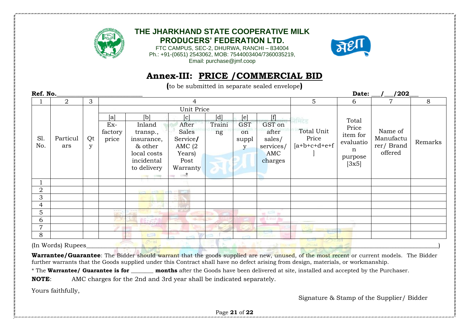

FTC CAMPUS, SEC-2, DHURWA, RANCHI – 834004 Ph.: +91-(0651) 2543062, MOB: 7544003404/7360035219, Email: purchase@jmf.coop



# **Annex-III: PRICE /COMMERCIAL BID**

**(**to be submitted in separate sealed envelope**)** 

| Ref. No.       |                |    |                              |                             |              |        |            |             |                 | Date:     | /202      |         |
|----------------|----------------|----|------------------------------|-----------------------------|--------------|--------|------------|-------------|-----------------|-----------|-----------|---------|
|                | $\overline{2}$ | 3  |                              |                             | 4            |        |            |             | $5\overline{)}$ | 6         | 7         | 8       |
|                |                |    | Unit Price                   |                             |              |        |            |             |                 |           |           |         |
|                |                |    | [a]                          | ſЫ                          | c            | [d]    | [e]        | [f]         | नेमिटेड         | Total     |           |         |
|                |                |    | Ex-                          | Inland                      | After        | Traini | <b>GST</b> | GST on      |                 | Price     |           |         |
|                |                |    | factory                      | transp.,                    | Sales        | ng     | on         | after       | Total Unit      | item for  | Name of   |         |
| S1.            | Particul       | Qt | price                        | insurance,                  | Service/     |        | suppl      | sales/      | Price           | evaluatio | Manufactu | Remarks |
| No.            | ars            | y  |                              | & other                     | AMC $(2)$    |        | y          | services/   | $[a+b+c+d+e+f]$ | n         | rer/Brand |         |
|                |                |    |                              | local costs                 | Years)       |        |            | AMC         |                 | purpose   | offered   |         |
|                |                |    |                              | incidental                  | Post         |        |            | charges     |                 | [3x5]     |           |         |
|                |                |    |                              | to delivery                 | Warranty     |        |            |             |                 |           |           |         |
|                |                |    |                              | <b>Control Company</b>      | $\star$<br>× |        |            |             |                 |           |           |         |
|                |                |    |                              |                             |              |        |            |             |                 |           |           |         |
| $\overline{2}$ |                |    |                              | and the control of the con- |              |        |            |             |                 |           |           |         |
| 3              |                |    |                              |                             |              |        |            |             |                 |           |           |         |
| 4              |                |    |                              |                             |              |        |            |             |                 |           |           |         |
| 5              |                |    | $400 - 400$<br><b>Carlos</b> |                             |              |        |            | $m_{\rm H}$ |                 |           |           |         |
| 6              |                |    |                              |                             |              |        |            |             |                 |           |           |         |
| 7              |                |    |                              |                             |              |        |            |             |                 |           |           |         |
| 8              |                |    |                              | <b>STELL</b>                |              |        |            |             |                 |           |           |         |
|                |                |    |                              |                             |              |        |            |             | <b>RAILWAY</b>  | 32.131    |           |         |

 $\Box$  (In Words) Rupees  $\Box$  . The state of the state of the state of the state of the state of the state of the state of the state of the state of the state of the state of the state of the state of the state of the state

Warrantee/Guarantee: The Bidder should warrant that the goods supplied are new, unused, of the most recent or current models. The Bidder further warrants that the Goods supplied under this Contract shall have no defect arising from design, materials, or workmanship.

\* The **Warrantee/ Guarantee is for \_\_\_\_\_\_\_\_ months** after the Goods have been delivered at site, installed and accepted by the Purchaser.

**NOTE**: AMC charges for the 2nd and 3rd year shall be indicated separately.

Yours faithfully,

Signature & Stamp of the Supplier/ Bidder

Page **21** of **22**